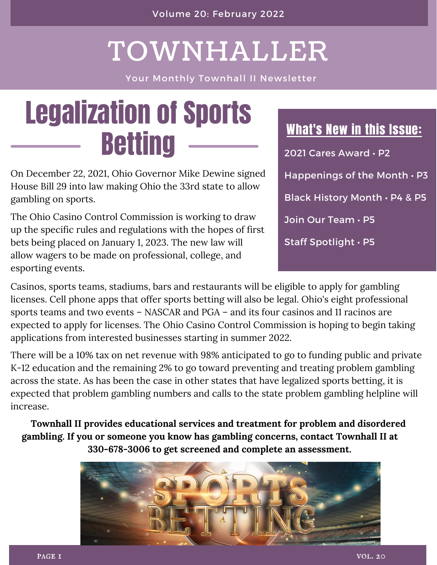### TOWNHALLER

Your Monthly Townhall II Newsletter

## Legalization of Sports Betting

On December 22, 2021, Ohio Governor Mike Dewine signed House Bill 29 into law making Ohio the 33rd state to allow gambling on sports.

The Ohio Casino Control Commission is working to draw up the specific rules and regulations with the hopes of first bets being placed on January 1, 2023. The new law will allow wagers to be made on professional, college, and esporting events.

#### What's New in this Issue:

2021 Cares Award • P2 Happenings of the Month • P3 Black History Month • P4 & P5 Join Our Team • P5 Staff Spotlight • P5

Casinos, sports teams, stadiums, bars and restaurants will be eligible to apply for gambling licenses. Cell phone apps that offer sports betting will also be legal. Ohio's eight professional sports teams and two events – NASCAR and PGA – and its four casinos and 11 racinos are expected to apply for licenses. The Ohio Casino Control Commission is hoping to begin taking applications from interested businesses starting in summer 2022.

There will be a 10% tax on net revenue with 98% anticipated to go to funding public and private K-12 education and the remaining 2% to go toward preventing and treating problem gambling across the state. As has been the case in other states that have legalized sports betting, it is expected that problem gambling numbers and calls to the state problem gambling helpline will increase.

**Townhall II provides educational services and treatment for problem and disordered gambling. If you or someone you know has gambling concerns, contact Townhall II at 330-678-3006 to get screened and complete an assessment.**

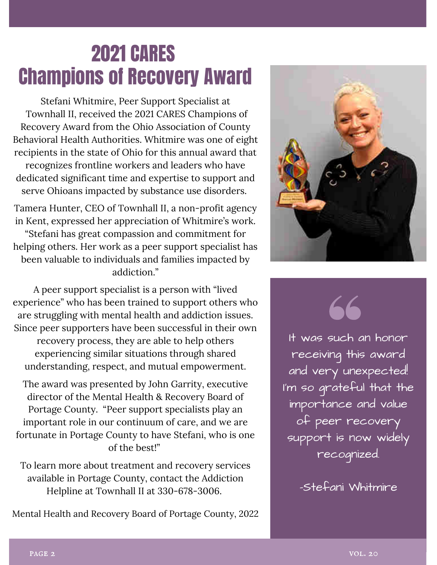### 2021 CARES Champions of Recovery Award

Stefani Whitmire, Peer Support Specialist at Townhall II, received the 2021 CARES Champions of Recovery Award from the Ohio Association of County Behavioral Health Authorities. Whitmire was one of eight recipients in the state of Ohio for this annual award that recognizes frontline workers and leaders who have dedicated significant time and expertise to support and serve Ohioans impacted by substance use disorders.

Tamera Hunter, CEO of Townhall II, a non-profit agency in Kent, expressed her appreciation of Whitmire's work. "Stefani has great compassion and commitment for helping others. Her work as a peer support specialist has been valuable to individuals and families impacted by addiction."

A peer support specialist is a person with "lived experience" who has been trained to support others who are struggling with mental health and addiction issues. Since peer supporters have been successful in their own recovery process, they are able to help others experiencing similar situations through shared understanding, respect, and mutual empowerment.

The award was presented by John Garrity, executive director of the Mental Health & Recovery Board of Portage County. "Peer support specialists play an important role in our continuum of care, and we are fortunate in Portage County to have Stefani, who is one of the best!"

To learn more about treatment and recovery services available in Portage County, contact the Addiction Helpline at Townhall II at 330-678-3006.

Mental Health and Recovery Board of Portage County, 2022



66

It was such an honor receiving this award and very unexpected! I'm so grateful that the importance and value of peer recovery support is now widely recognized.

-Stefani Whitmire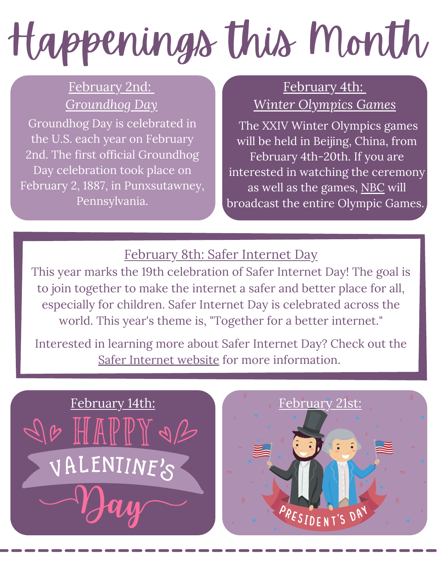# Happenings this Month

#### February 2nd: *Groundhog Day*

Groundhog Day is celebrated in the U.S. each year on February 2nd. The first official Groundhog Day celebration took place on February 2, 1887, in Punxsutawney, Pennsylvania.

#### February 4th: *Winter Olympics Games*

The XXIV Winter Olympics games will be held in Beijing, China, from February 4th-20th. If you are interested in watching the ceremony as well as the games, [NBC](https://www.nbcolympics.com/) will [broadcast](https://olympics.nbcsports.com/2021/02/10/nbc-tokyo-olympics-opening-ceremony-live-morning/) the entire Olympic Games.

#### February 8th: Safer Internet Day

This year marks the 19th celebration of Safer Internet Day! The goal is to join together to make the internet a safer and better place for all, especially for children. Safer Internet Day is celebrated across the world. This year's theme is, "Together for a better internet."

Interested in learning more about Safer Internet Day? Check out the Safer [Internet](https://www.saferinternetday.org/en-GB/home) website for more information.



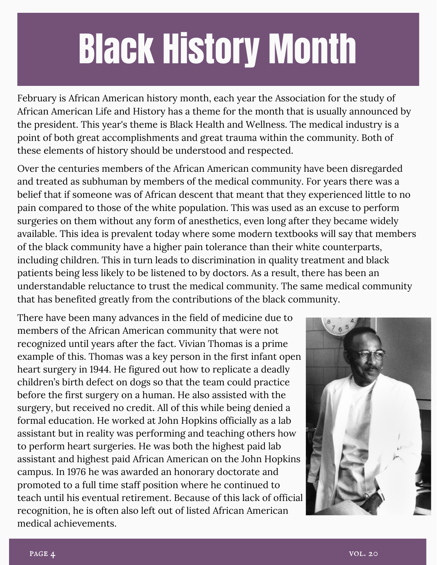## Black History Month

February is African American history month, each year the Association for the study of African American Life and History has a theme for the month that is usually announced by the president. This year's theme is Black Health and Wellness. The medical industry is a point of both great accomplishments and great trauma within the community. Both of these elements of history should be understood and respected.

Over the centuries members of the African American community have been disregarded and treated as subhuman by members of the medical community. For years there was a belief that if someone was of African descent that meant that they experienced little to no pain compared to those of the white population. This was used as an excuse to perform surgeries on them without any form of anesthetics, even long after they became widely available. This idea is prevalent today where some modern textbooks will say that members of the black community have a higher pain tolerance than their white counterparts, including children. This in turn leads to discrimination in quality treatment and black patients being less likely to be listened to by doctors. As a result, there has been an understandable reluctance to trust the medical community. The same medical community that has benefited greatly from the contributions of the black community.

There have been many advances in the field of medicine due to members of the African American community that were not recognized until years after the fact. Vivian Thomas is a prime example of this. Thomas was a key person in the first infant open heart surgery in 1944. He figured out how to replicate a deadly children's birth defect on dogs so that the team could practice before the first surgery on a human. He also assisted with the surgery, but received no credit. All of this while being denied a formal education. He worked at John Hopkins officially as a lab assistant but in reality was performing and teaching others how to perform heart surgeries. He was both the highest paid lab assistant and highest paid African American on the John Hopkins campus. In 1976 he was awarded an honorary doctorate and promoted to a full time staff position where he continued to teach until his eventual retirement. Because of this lack of official recognition, he is often also left out of listed African American medical achievements.